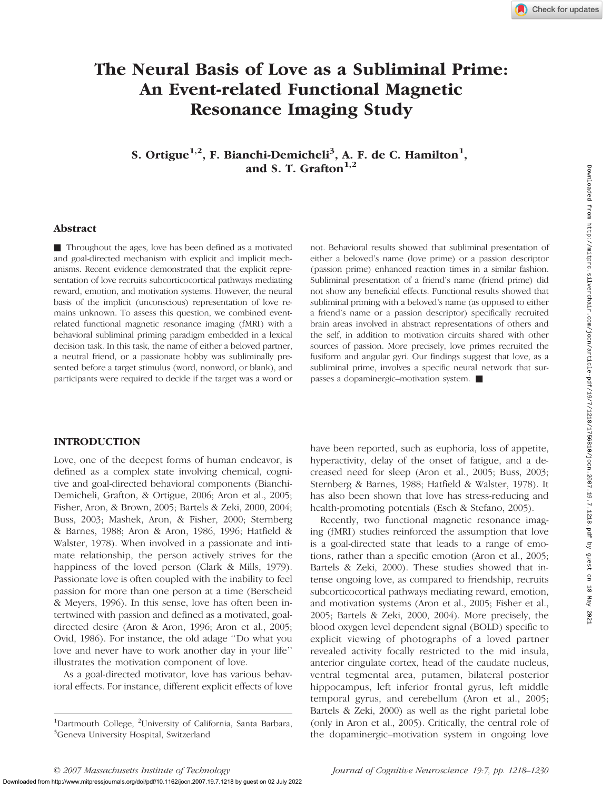# The Neural Basis of Love as a Subliminal Prime: An Event-related Functional Magnetic Resonance Imaging Study

S. Ortigue<sup>1,2</sup>, F. Bianchi-Demicheli<sup>3</sup>, A. F. de C. Hamilton<sup>1</sup>, and S. T. Grafton $1,2$ 

## Abstract

& Throughout the ages, love has been defined as a motivated and goal-directed mechanism with explicit and implicit mechanisms. Recent evidence demonstrated that the explicit representation of love recruits subcorticocortical pathways mediating reward, emotion, and motivation systems. However, the neural basis of the implicit (unconscious) representation of love remains unknown. To assess this question, we combined eventrelated functional magnetic resonance imaging (fMRI) with a behavioral subliminal priming paradigm embedded in a lexical decision task. In this task, the name of either a beloved partner, a neutral friend, or a passionate hobby was subliminally presented before a target stimulus (word, nonword, or blank), and participants were required to decide if the target was a word or

## not. Behavioral results showed that subliminal presentation of either a beloved's name (love prime) or a passion descriptor (passion prime) enhanced reaction times in a similar fashion. Subliminal presentation of a friend's name (friend prime) did not show any beneficial effects. Functional results showed that subliminal priming with a beloved's name (as opposed to either a friend's name or a passion descriptor) specifically recruited brain areas involved in abstract representations of others and the self, in addition to motivation circuits shared with other sources of passion. More precisely, love primes recruited the fusiform and angular gyri. Our findings suggest that love, as a subliminal prime, involves a specific neural network that surpasses a dopaminergic–motivation system.  $\blacksquare$

# INTRODUCTION

Love, one of the deepest forms of human endeavor, is defined as a complex state involving chemical, cognitive and goal-directed behavioral components (Bianchi-Demicheli, Grafton, & Ortigue, 2006; Aron et al., 2005; Fisher, Aron, & Brown, 2005; Bartels & Zeki, 2000, 2004; Buss, 2003; Mashek, Aron, & Fisher, 2000; Sternberg & Barnes, 1988; Aron & Aron, 1986, 1996; Hatfield & Walster, 1978). When involved in a passionate and intimate relationship, the person actively strives for the happiness of the loved person (Clark & Mills, 1979). Passionate love is often coupled with the inability to feel passion for more than one person at a time (Berscheid & Meyers, 1996). In this sense, love has often been intertwined with passion and defined as a motivated, goaldirected desire (Aron & Aron, 1996; Aron et al., 2005; Ovid, 1986). For instance, the old adage ''Do what you love and never have to work another day in your life'' illustrates the motivation component of love.

As a goal-directed motivator, love has various behavioral effects. For instance, different explicit effects of love

have been reported, such as euphoria, loss of appetite, hyperactivity, delay of the onset of fatigue, and a decreased need for sleep (Aron et al., 2005; Buss, 2003; Sternberg & Barnes, 1988; Hatfield & Walster, 1978). It has also been shown that love has stress-reducing and health-promoting potentials (Esch & Stefano, 2005).

Recently, two functional magnetic resonance imaging (fMRI) studies reinforced the assumption that love is a goal-directed state that leads to a range of emotions, rather than a specific emotion (Aron et al., 2005; Bartels & Zeki, 2000). These studies showed that intense ongoing love, as compared to friendship, recruits subcorticocortical pathways mediating reward, emotion, and motivation systems (Aron et al., 2005; Fisher et al., 2005; Bartels & Zeki, 2000, 2004). More precisely, the blood oxygen level dependent signal (BOLD) specific to explicit viewing of photographs of a loved partner revealed activity focally restricted to the mid insula, anterior cingulate cortex, head of the caudate nucleus, ventral tegmental area, putamen, bilateral posterior hippocampus, left inferior frontal gyrus, left middle temporal gyrus, and cerebellum (Aron et al., 2005; Bartels & Zeki, 2000) as well as the right parietal lobe (only in Aron et al., 2005). Critically, the central role of the dopaminergic–motivation system in ongoing love

<sup>&</sup>lt;sup>1</sup>Dartmouth College, <sup>2</sup>University of California, Santa Barbara, <sup>3</sup>Geneva University Hospital, Switzerland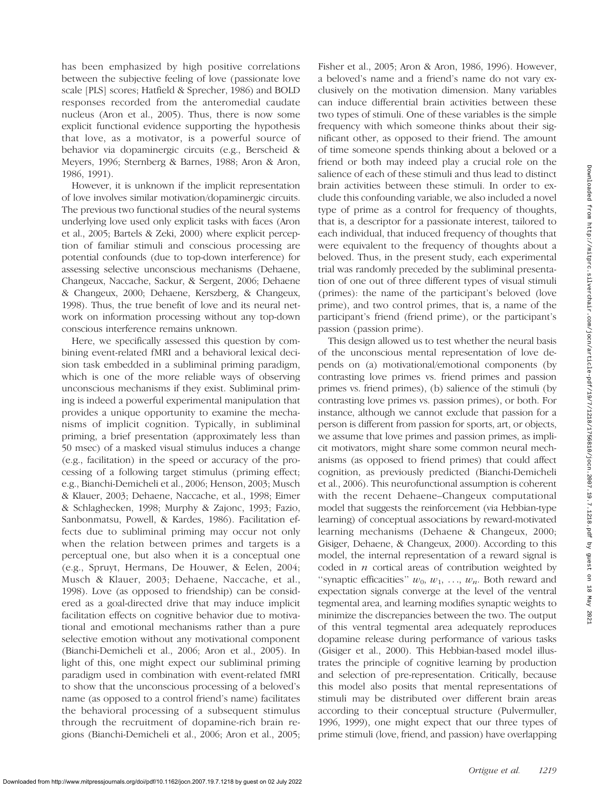has been emphasized by high positive correlations between the subjective feeling of love (passionate love scale [PLS] scores; Hatfield & Sprecher, 1986) and BOLD responses recorded from the anteromedial caudate nucleus (Aron et al., 2005). Thus, there is now some explicit functional evidence supporting the hypothesis that love, as a motivator, is a powerful source of behavior via dopaminergic circuits (e.g., Berscheid & Meyers, 1996; Sternberg & Barnes, 1988; Aron & Aron, 1986, 1991).

However, it is unknown if the implicit representation of love involves similar motivation/dopaminergic circuits. The previous two functional studies of the neural systems underlying love used only explicit tasks with faces (Aron et al., 2005; Bartels & Zeki, 2000) where explicit perception of familiar stimuli and conscious processing are potential confounds (due to top-down interference) for assessing selective unconscious mechanisms (Dehaene, Changeux, Naccache, Sackur, & Sergent, 2006; Dehaene & Changeux, 2000; Dehaene, Kerszberg, & Changeux, 1998). Thus, the true benefit of love and its neural network on information processing without any top-down conscious interference remains unknown.

Here, we specifically assessed this question by combining event-related fMRI and a behavioral lexical decision task embedded in a subliminal priming paradigm, which is one of the more reliable ways of observing unconscious mechanisms if they exist. Subliminal priming is indeed a powerful experimental manipulation that provides a unique opportunity to examine the mechanisms of implicit cognition. Typically, in subliminal priming, a brief presentation (approximately less than 50 msec) of a masked visual stimulus induces a change (e.g., facilitation) in the speed or accuracy of the processing of a following target stimulus (priming effect; e.g., Bianchi-Demicheli et al., 2006; Henson, 2003; Musch & Klauer, 2003; Dehaene, Naccache, et al., 1998; Eimer & Schlaghecken, 1998; Murphy & Zajonc, 1993; Fazio, Sanbonmatsu, Powell, & Kardes, 1986). Facilitation effects due to subliminal priming may occur not only when the relation between primes and targets is a perceptual one, but also when it is a conceptual one (e.g., Spruyt, Hermans, De Houwer, & Eelen, 2004; Musch & Klauer, 2003; Dehaene, Naccache, et al., 1998). Love (as opposed to friendship) can be considered as a goal-directed drive that may induce implicit facilitation effects on cognitive behavior due to motivational and emotional mechanisms rather than a pure selective emotion without any motivational component (Bianchi-Demicheli et al., 2006; Aron et al., 2005). In light of this, one might expect our subliminal priming paradigm used in combination with event-related fMRI to show that the unconscious processing of a beloved's name (as opposed to a control friend's name) facilitates the behavioral processing of a subsequent stimulus through the recruitment of dopamine-rich brain regions (Bianchi-Demicheli et al., 2006; Aron et al., 2005; Fisher et al., 2005; Aron & Aron, 1986, 1996). However, a beloved's name and a friend's name do not vary exclusively on the motivation dimension. Many variables can induce differential brain activities between these two types of stimuli. One of these variables is the simple frequency with which someone thinks about their significant other, as opposed to their friend. The amount of time someone spends thinking about a beloved or a friend or both may indeed play a crucial role on the salience of each of these stimuli and thus lead to distinct brain activities between these stimuli. In order to exclude this confounding variable, we also included a novel type of prime as a control for frequency of thoughts, that is, a descriptor for a passionate interest, tailored to each individual, that induced frequency of thoughts that were equivalent to the frequency of thoughts about a beloved. Thus, in the present study, each experimental trial was randomly preceded by the subliminal presentation of one out of three different types of visual stimuli (primes): the name of the participant's beloved (love prime), and two control primes, that is, a name of the participant's friend (friend prime), or the participant's passion (passion prime).

This design allowed us to test whether the neural basis of the unconscious mental representation of love depends on (a) motivational/emotional components (by contrasting love primes vs. friend primes and passion primes vs. friend primes), (b) salience of the stimuli (by contrasting love primes vs. passion primes), or both. For instance, although we cannot exclude that passion for a person is different from passion for sports, art, or objects, we assume that love primes and passion primes, as implicit motivators, might share some common neural mechanisms (as opposed to friend primes) that could affect cognition, as previously predicted (Bianchi-Demicheli et al., 2006). This neurofunctional assumption is coherent with the recent Dehaene–Changeux computational model that suggests the reinforcement (via Hebbian-type learning) of conceptual associations by reward-motivated learning mechanisms (Dehaene & Changeux, 2000; Gisiger, Dehaene, & Changeux, 2000). According to this model, the internal representation of a reward signal is coded in  $n$  cortical areas of contribution weighted by "synaptic efficacities"  $w_0$ ,  $w_1$ , ...,  $w_n$ . Both reward and expectation signals converge at the level of the ventral tegmental area, and learning modifies synaptic weights to minimize the discrepancies between the two. The output of this ventral tegmental area adequately reproduces dopamine release during performance of various tasks (Gisiger et al., 2000). This Hebbian-based model illustrates the principle of cognitive learning by production and selection of pre-representation. Critically, because this model also posits that mental representations of stimuli may be distributed over different brain areas according to their conceptual structure (Pulvermuller, 1996, 1999), one might expect that our three types of prime stimuli (love, friend, and passion) have overlapping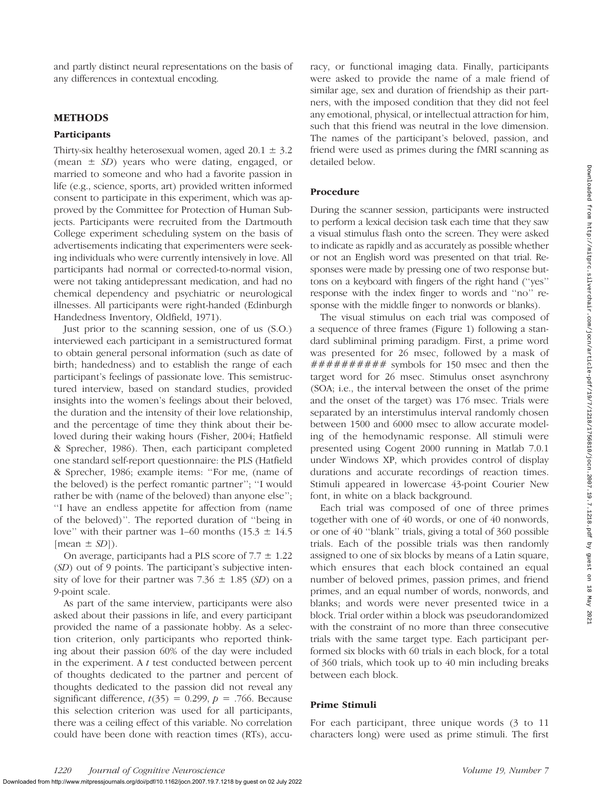and partly distinct neural representations on the basis of any differences in contextual encoding.

## METHODS

## **Participants**

Thirty-six healthy heterosexual women, aged  $20.1 \pm 3.2$ (mean  $\pm$  SD) years who were dating, engaged, or married to someone and who had a favorite passion in life (e.g., science, sports, art) provided written informed consent to participate in this experiment, which was approved by the Committee for Protection of Human Subjects. Participants were recruited from the Dartmouth College experiment scheduling system on the basis of advertisements indicating that experimenters were seeking individuals who were currently intensively in love. All participants had normal or corrected-to-normal vision, were not taking antidepressant medication, and had no chemical dependency and psychiatric or neurological illnesses. All participants were right-handed (Edinburgh Handedness Inventory, Oldfield, 1971).

Just prior to the scanning session, one of us (S.O.) interviewed each participant in a semistructured format to obtain general personal information (such as date of birth; handedness) and to establish the range of each participant's feelings of passionate love. This semistructured interview, based on standard studies, provided insights into the women's feelings about their beloved, the duration and the intensity of their love relationship, and the percentage of time they think about their beloved during their waking hours (Fisher, 2004; Hatfield & Sprecher, 1986). Then, each participant completed one standard self-report questionnaire: the PLS (Hatfield & Sprecher, 1986; example items: ''For me, (name of the beloved) is the perfect romantic partner''; ''I would rather be with (name of the beloved) than anyone else''; ''I have an endless appetite for affection from (name of the beloved)''. The reported duration of ''being in love" with their partner was 1–60 months (15.3  $\pm$  14.5  $[mean \pm SD]$ ).

On average, participants had a PLS score of  $7.7 \pm 1.22$ (SD) out of 9 points. The participant's subjective intensity of love for their partner was  $7.36 \pm 1.85$  (SD) on a 9-point scale.

As part of the same interview, participants were also asked about their passions in life, and every participant provided the name of a passionate hobby. As a selection criterion, only participants who reported thinking about their passion 60% of the day were included in the experiment. A  $t$  test conducted between percent of thoughts dedicated to the partner and percent of thoughts dedicated to the passion did not reveal any significant difference,  $t(35) = 0.299$ ,  $p = .766$ . Because this selection criterion was used for all participants, there was a ceiling effect of this variable. No correlation could have been done with reaction times (RTs), accuracy, or functional imaging data. Finally, participants were asked to provide the name of a male friend of similar age, sex and duration of friendship as their partners, with the imposed condition that they did not feel any emotional, physical, or intellectual attraction for him, such that this friend was neutral in the love dimension. The names of the participant's beloved, passion, and friend were used as primes during the fMRI scanning as detailed below.

## Procedure

During the scanner session, participants were instructed to perform a lexical decision task each time that they saw a visual stimulus flash onto the screen. They were asked to indicate as rapidly and as accurately as possible whether or not an English word was presented on that trial. Responses were made by pressing one of two response buttons on a keyboard with fingers of the right hand (''yes'' response with the index finger to words and ''no'' response with the middle finger to nonwords or blanks).

The visual stimulus on each trial was composed of a sequence of three frames (Figure 1) following a standard subliminal priming paradigm. First, a prime word was presented for 26 msec, followed by a mask of ########## symbols for 150 msec and then the target word for 26 msec. Stimulus onset asynchrony (SOA; i.e., the interval between the onset of the prime and the onset of the target) was 176 msec. Trials were separated by an interstimulus interval randomly chosen between 1500 and 6000 msec to allow accurate modeling of the hemodynamic response. All stimuli were presented using Cogent 2000 running in Matlab 7.0.1 under Windows XP, which provides control of display durations and accurate recordings of reaction times. Stimuli appeared in lowercase 43-point Courier New font, in white on a black background.

Each trial was composed of one of three primes together with one of 40 words, or one of 40 nonwords, or one of 40 ''blank'' trials, giving a total of 360 possible trials. Each of the possible trials was then randomly assigned to one of six blocks by means of a Latin square, which ensures that each block contained an equal number of beloved primes, passion primes, and friend primes, and an equal number of words, nonwords, and blanks; and words were never presented twice in a block. Trial order within a block was pseudorandomized with the constraint of no more than three consecutive trials with the same target type. Each participant performed six blocks with 60 trials in each block, for a total of 360 trials, which took up to 40 min including breaks between each block.

## Prime Stimuli

For each participant, three unique words (3 to 11 characters long) were used as prime stimuli. The first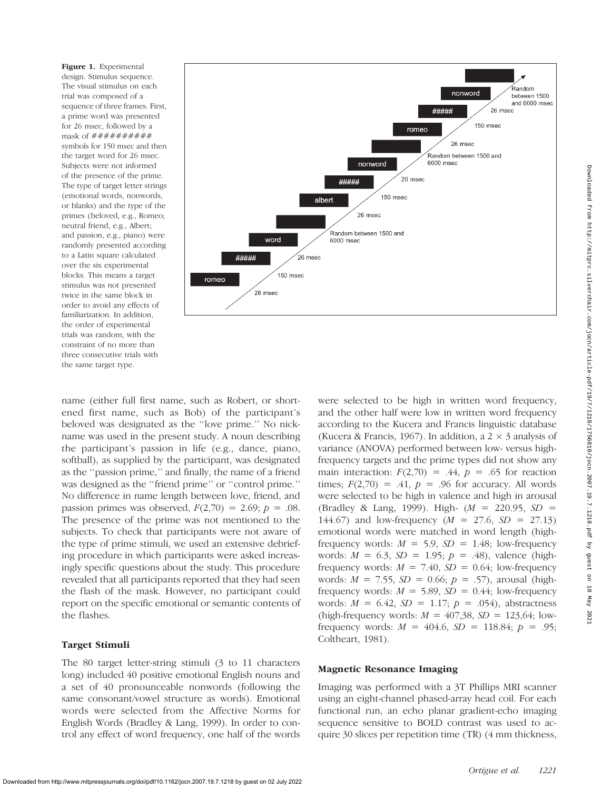Figure 1. Experimental design. Stimulus sequence. The visual stimulus on each trial was composed of a sequence of three frames. First, a prime word was presented for 26 msec, followed by a mask of  $# # # # # # # # #$ symbols for 150 msec and then the target word for 26 msec. Subjects were not informed of the presence of the prime. The type of target letter strings (emotional words, nonwords, or blanks) and the type of the primes (beloved, e.g., Romeo; neutral friend, e.g., Albert; and passion, e.g., piano) were randomly presented according to a Latin square calculated over the six experimental blocks. This means a target stimulus was not presented twice in the same block in order to avoid any effects of familiarization. In addition, the order of experimental trials was random, with the constraint of no more than three consecutive trials with the same target type.



name (either full first name, such as Robert, or shortened first name, such as Bob) of the participant's beloved was designated as the ''love prime.'' No nickname was used in the present study. A noun describing the participant's passion in life (e.g., dance, piano, softball), as supplied by the participant, was designated as the ''passion prime,'' and finally, the name of a friend was designed as the ''friend prime'' or ''control prime.'' No difference in name length between love, friend, and passion primes was observed,  $F(2,70) = 2.69$ ;  $p = .08$ . The presence of the prime was not mentioned to the subjects. To check that participants were not aware of the type of prime stimuli, we used an extensive debriefing procedure in which participants were asked increasingly specific questions about the study. This procedure revealed that all participants reported that they had seen the flash of the mask. However, no participant could report on the specific emotional or semantic contents of the flashes.

# Target Stimuli

The 80 target letter-string stimuli (3 to 11 characters long) included 40 positive emotional English nouns and a set of 40 pronounceable nonwords (following the same consonant/vowel structure as words). Emotional words were selected from the Affective Norms for English Words (Bradley & Lang, 1999). In order to control any effect of word frequency, one half of the words were selected to be high in written word frequency, and the other half were low in written word frequency according to the Kucera and Francis linguistic database (Kucera & Francis, 1967). In addition, a  $2 \times 3$  analysis of variance (ANOVA) performed between low- versus highfrequency targets and the prime types did not show any main interaction:  $F(2,70) = .44$ ,  $p = .65$  for reaction times;  $F(2,70) = .41$ ,  $p = .96$  for accuracy. All words were selected to be high in valence and high in arousal (Bradley & Lang, 1999). High-  $(M = 220.95, SD =$ 144.67) and low-frequency ( $M = 27.6$ ,  $SD = 27.13$ ) emotional words were matched in word length (highfrequency words:  $M = 5.9$ ,  $SD = 1.48$ ; low-frequency words:  $M = 6.3$ ,  $SD = 1.95$ ;  $p = .48$ ), valence (highfrequency words:  $M = 7.40$ ,  $SD = 0.64$ ; low-frequency words:  $M = 7.55$ ,  $SD = 0.66$ ;  $p = .57$ ), arousal (highfrequency words:  $M = 5.89$ ,  $SD = 0.44$ ; low-frequency words:  $M = 6.42$ ,  $SD = 1.17$ ;  $p = .054$ ), abstractness (high-frequency words:  $M = 407,38, SD = 123,64$ ; lowfrequency words:  $M = 404.6$ ,  $SD = 118.84$ ;  $p = .95$ ; Coltheart, 1981).

## Magnetic Resonance Imaging

Imaging was performed with a 3T Phillips MRI scanner using an eight-channel phased-array head coil. For each functional run, an echo planar gradient-echo imaging sequence sensitive to BOLD contrast was used to acquire 30 slices per repetition time (TR) (4 mm thickness,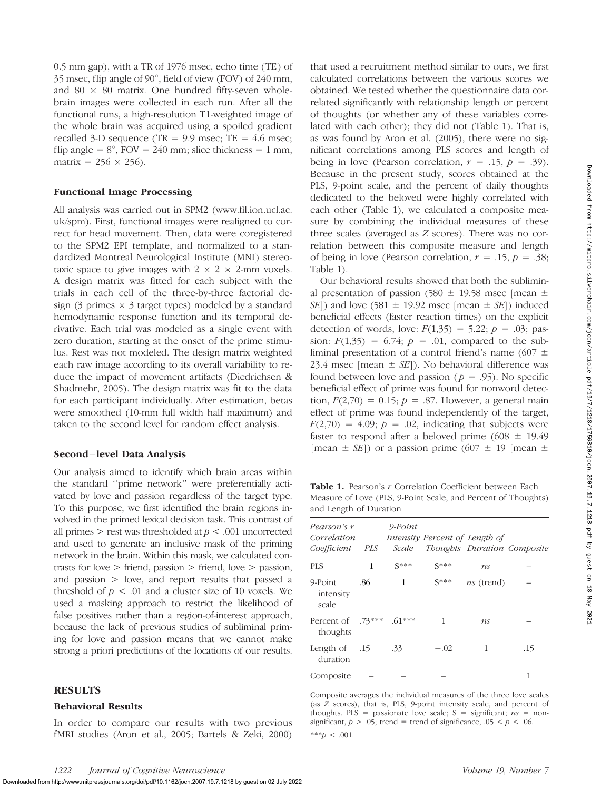0.5 mm gap), with a TR of 1976 msec, echo time (TE) of 35 msec, flip angle of  $90^{\circ}$ , field of view (FOV) of 240 mm, and  $80 \times 80$  matrix. One hundred fifty-seven wholebrain images were collected in each run. After all the functional runs, a high-resolution T1-weighted image of the whole brain was acquired using a spoiled gradient recalled 3-D sequence (TR =  $9.9$  msec; TE =  $4.6$  msec; flip angle =  $8^\circ$ , FOV = 240 mm; slice thickness = 1 mm, matrix =  $256 \times 256$ ).

#### Functional Image Processing

All analysis was carried out in SPM2 (www.fil.ion.ucl.ac. uk/spm). First, functional images were realigned to correct for head movement. Then, data were coregistered to the SPM2 EPI template, and normalized to a standardized Montreal Neurological Institute (MNI) stereotaxic space to give images with  $2 \times 2 \times 2$ -mm voxels. A design matrix was fitted for each subject with the trials in each cell of the three-by-three factorial design (3 primes  $\times$  3 target types) modeled by a standard hemodynamic response function and its temporal derivative. Each trial was modeled as a single event with zero duration, starting at the onset of the prime stimulus. Rest was not modeled. The design matrix weighted each raw image according to its overall variability to reduce the impact of movement artifacts (Diedrichsen & Shadmehr, 2005). The design matrix was fit to the data for each participant individually. After estimation, betas were smoothed (10-mm full width half maximum) and taken to the second level for random effect analysis.

#### Second-level Data Analysis

Our analysis aimed to identify which brain areas within the standard ''prime network'' were preferentially activated by love and passion regardless of the target type. To this purpose, we first identified the brain regions involved in the primed lexical decision task. This contrast of all primes  $>$  rest was thresholded at  $p < .001$  uncorrected and used to generate an inclusive mask of the priming network in the brain. Within this mask, we calculated contrasts for love > friend, passion > friend, love > passion, and passion > love, and report results that passed a threshold of  $p < 0.01$  and a cluster size of 10 voxels. We used a masking approach to restrict the likelihood of false positives rather than a region-of-interest approach, because the lack of previous studies of subliminal priming for love and passion means that we cannot make strong a priori predictions of the locations of our results.

#### **RESULTS**

#### Behavioral Results

In order to compare our results with two previous fMRI studies (Aron et al., 2005; Bartels & Zeki, 2000)

that used a recruitment method similar to ours, we first calculated correlations between the various scores we obtained. We tested whether the questionnaire data correlated significantly with relationship length or percent of thoughts (or whether any of these variables correlated with each other); they did not (Table 1). That is, as was found by Aron et al. (2005), there were no significant correlations among PLS scores and length of being in love (Pearson correlation,  $r = .15$ ,  $p = .39$ ). Because in the present study, scores obtained at the PLS, 9-point scale, and the percent of daily thoughts dedicated to the beloved were highly correlated with each other (Table 1), we calculated a composite measure by combining the individual measures of these three scales (averaged as Z scores). There was no correlation between this composite measure and length of being in love (Pearson correlation,  $r = .15$ ,  $p = .38$ ; Table 1).

Our behavioral results showed that both the subliminal presentation of passion (580  $\pm$  19.58 msec [mean  $\pm$  $SE$ ) and love (581  $\pm$  19.92 msec [mean  $\pm$  *SE*]) induced beneficial effects (faster reaction times) on the explicit detection of words, love:  $F(1,35) = 5.22$ ;  $p = .03$ ; passion:  $F(1,35) = 6.74$ ;  $p = .01$ , compared to the subliminal presentation of a control friend's name (607  $\pm$ 23.4 msec [mean  $\pm$  *SE*]). No behavioral difference was found between love and passion ( $p = .95$ ). No specific beneficial effect of prime was found for nonword detection,  $F(2,70) = 0.15$ ;  $p = .87$ . However, a general main effect of prime was found independently of the target,  $F(2,70) = 4.09$ ;  $p = .02$ , indicating that subjects were faster to respond after a beloved prime (608  $\pm$  19.49) [mean  $\pm$  *SE*]) or a passion prime (607  $\pm$  19 [mean  $\pm$ 

Table 1. Pearson's r Correlation Coefficient between Each Measure of Love (PLS, 9-Point Scale, and Percent of Thoughts) and Length of Duration

| Pearson's r<br>Correlation<br>Coefficient | PLS | 9-Point<br>Scale | Intensity Percent of Length of | Thoughts Duration Composite |     |
|-------------------------------------------|-----|------------------|--------------------------------|-----------------------------|-----|
| <b>PLS</b>                                | 1   | $S***$           | $S***$                         | ns                          |     |
| 9-Point<br>intensity<br>scale             | .86 | 1                | $S***$                         | $ns$ (trend)                |     |
| Percent of $.73***$ 61***<br>thoughts     |     |                  | 1                              | ns                          |     |
| Length of<br>duration                     | .15 | .33              | $-.02$                         | 1                           | .15 |
| Composite                                 |     |                  |                                |                             | 1   |

Composite averages the individual measures of the three love scales (as  $Z$  scores), that is, PLS, 9-point intensity scale, and percent of thoughts. PLS = passionate love scale; S = significant;  $ns$  = nonsignificant,  $p > .05$ ; trend = trend of significance,  $.05 < p < .06$ .  $***p < .001$ .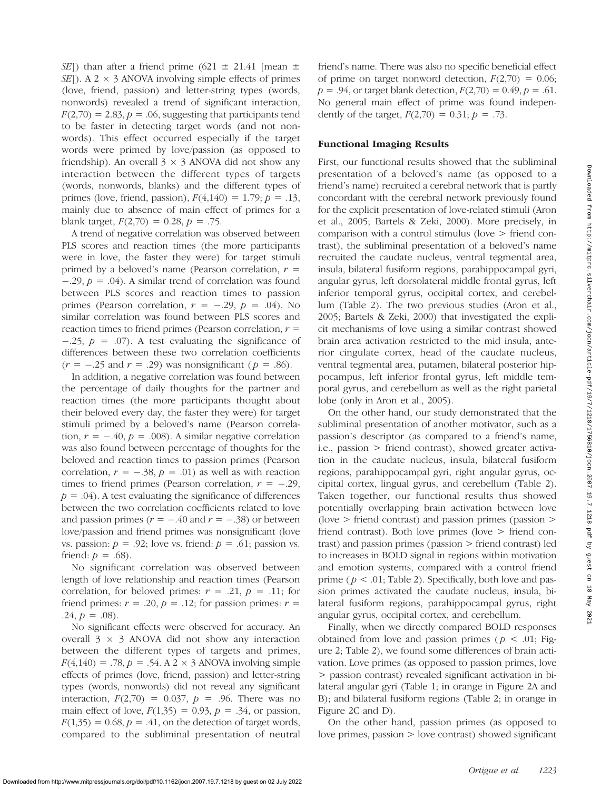SE]) than after a friend prime (621  $\pm$  21.41 [mean  $\pm$ SE]). A 2  $\times$  3 ANOVA involving simple effects of primes (love, friend, passion) and letter-string types (words, nonwords) revealed a trend of significant interaction,  $F(2,70) = 2.83, p = .06$ , suggesting that participants tend to be faster in detecting target words (and not nonwords). This effect occurred especially if the target words were primed by love/passion (as opposed to friendship). An overall  $3 \times 3$  ANOVA did not show any interaction between the different types of targets (words, nonwords, blanks) and the different types of primes (love, friend, passion),  $F(4,140) = 1.79$ ;  $p = .13$ , mainly due to absence of main effect of primes for a blank target,  $F(2,70) = 0.28$ ,  $p = .75$ .

A trend of negative correlation was observed between PLS scores and reaction times (the more participants were in love, the faster they were) for target stimuli primed by a beloved's name (Pearson correlation,  $r =$  $-.29, p = .04$ ). A similar trend of correlation was found between PLS scores and reaction times to passion primes (Pearson correlation,  $r = -.29$ ,  $p = .04$ ). No similar correlation was found between PLS scores and reaction times to friend primes (Pearson correlation,  $r =$  $-.25, p = .07$ ). A test evaluating the significance of differences between these two correlation coefficients  $(r = -.25 \text{ and } r = .29)$  was nonsignificant  $(p = .86)$ .

In addition, a negative correlation was found between the percentage of daily thoughts for the partner and reaction times (the more participants thought about their beloved every day, the faster they were) for target stimuli primed by a beloved's name (Pearson correlation,  $r = -.40, p = .008$ ). A similar negative correlation was also found between percentage of thoughts for the beloved and reaction times to passion primes (Pearson correlation,  $r = -.38$ ,  $p = .01$ ) as well as with reaction times to friend primes (Pearson correlation,  $r = -.29$ ,  $p = .04$ ). A test evaluating the significance of differences between the two correlation coefficients related to love and passion primes ( $r = -.40$  and  $r = -.38$ ) or between love/passion and friend primes was nonsignificant (love vs. passion:  $p = .92$ ; love vs. friend:  $p = .61$ ; passion vs. friend:  $p = .68$ ).

No significant correlation was observed between length of love relationship and reaction times (Pearson correlation, for beloved primes:  $r = .21$ ,  $p = .11$ ; for friend primes:  $r = .20$ ,  $p = .12$ ; for passion primes:  $r =$  $.24, p = .08$ .

No significant effects were observed for accuracy. An overall  $3 \times 3$  ANOVA did not show any interaction between the different types of targets and primes,  $F(4,140) = .78, p = .54. A 2 \times 3$  ANOVA involving simple effects of primes (love, friend, passion) and letter-string types (words, nonwords) did not reveal any significant interaction,  $F(2,70) = 0.037$ ,  $p = .96$ . There was no main effect of love,  $F(1,35) = 0.93$ ,  $p = .34$ , or passion,  $F(1,35) = 0.68$ ,  $p = .41$ , on the detection of target words, compared to the subliminal presentation of neutral friend's name. There was also no specific beneficial effect of prime on target nonword detection,  $F(2,70) = 0.06$ ;  $p = .94$ , or target blank detection,  $F(2,70) = 0.49$ ,  $p = .61$ . No general main effect of prime was found independently of the target,  $F(2,70) = 0.31$ ;  $p = .73$ .

#### Functional Imaging Results

First, our functional results showed that the subliminal presentation of a beloved's name (as opposed to a friend's name) recruited a cerebral network that is partly concordant with the cerebral network previously found for the explicit presentation of love-related stimuli (Aron et al., 2005; Bartels & Zeki, 2000). More precisely, in comparison with a control stimulus (love > friend contrast), the subliminal presentation of a beloved's name recruited the caudate nucleus, ventral tegmental area, insula, bilateral fusiform regions, parahippocampal gyri, angular gyrus, left dorsolateral middle frontal gyrus, left inferior temporal gyrus, occipital cortex, and cerebellum (Table 2). The two previous studies (Aron et al., 2005; Bartels & Zeki, 2000) that investigated the explicit mechanisms of love using a similar contrast showed brain area activation restricted to the mid insula, anterior cingulate cortex, head of the caudate nucleus, ventral tegmental area, putamen, bilateral posterior hippocampus, left inferior frontal gyrus, left middle temporal gyrus, and cerebellum as well as the right parietal lobe (only in Aron et al., 2005).

On the other hand, our study demonstrated that the subliminal presentation of another motivator, such as a passion's descriptor (as compared to a friend's name, i.e., passion > friend contrast), showed greater activation in the caudate nucleus, insula, bilateral fusiform regions, parahippocampal gyri, right angular gyrus, occipital cortex, lingual gyrus, and cerebellum (Table 2). Taken together, our functional results thus showed potentially overlapping brain activation between love (love > friend contrast) and passion primes (passion > friend contrast). Both love primes (love > friend contrast) and passion primes (passion > friend contrast) led to increases in BOLD signal in regions within motivation and emotion systems, compared with a control friend prime ( $p < .01$ ; Table 2). Specifically, both love and passion primes activated the caudate nucleus, insula, bilateral fusiform regions, parahippocampal gyrus, right angular gyrus, occipital cortex, and cerebellum.

Finally, when we directly compared BOLD responses obtained from love and passion primes ( $p < .01$ ; Figure 2; Table 2), we found some differences of brain activation. Love primes (as opposed to passion primes, love > passion contrast) revealed significant activation in bilateral angular gyri (Table 1; in orange in Figure 2A and B); and bilateral fusiform regions (Table 2; in orange in Figure 2C and D).

On the other hand, passion primes (as opposed to love primes, passion > love contrast) showed significant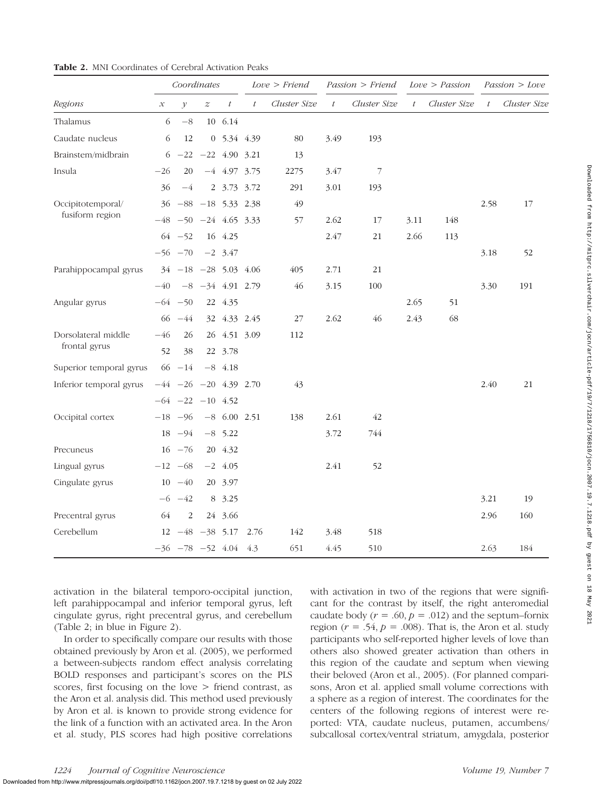|                         | Coordinates                                                                                                                                                                                                                                                                                                                                                                                                                                               |                |                             | Love > friend    |                  | Passion > Friend |                  | Love > Passion |                | Passion > Love |                |              |
|-------------------------|-----------------------------------------------------------------------------------------------------------------------------------------------------------------------------------------------------------------------------------------------------------------------------------------------------------------------------------------------------------------------------------------------------------------------------------------------------------|----------------|-----------------------------|------------------|------------------|------------------|------------------|----------------|----------------|----------------|----------------|--------------|
| Regions                 | $\mathcal{X}% _{0}=\mathcal{X}_{0}=\mathcal{X}_{0}=\mathcal{X}_{1}=\mathcal{X}_{1}=\mathcal{X}_{2}=\mathcal{X}_{1}=\mathcal{X}_{2}=\mathcal{X}_{3}=\mathcal{X}_{4}=\mathcal{X}_{5}=\mathcal{X}_{6}=\mathcal{X}_{7}=\mathcal{X}_{8}=\mathcal{X}_{9}=\mathcal{X}_{1}=\mathcal{X}_{1}=\mathcal{X}_{1}=\mathcal{X}_{1}=\mathcal{X}_{1}=\mathcal{X}_{2}=\mathcal{X}_{3}=\mathcal{X}_{4}=\mathcal{X}_{5}=\mathcal{X}_{6}=\mathcal{X}_{7}=\mathcal{X}_{8}=\math$ | $\mathcal{Y}$  | $\boldsymbol{z}$            | $\boldsymbol{t}$ | $\boldsymbol{t}$ | Cluster Size     | $\boldsymbol{t}$ | Cluster Size   | $\mathfrak{t}$ | Cluster Size   | $\mathfrak{t}$ | Cluster Size |
| Thalamus                | 6                                                                                                                                                                                                                                                                                                                                                                                                                                                         | $-8\,$         |                             | 10 6.14          |                  |                  |                  |                |                |                |                |              |
| Caudate nucleus         | 6                                                                                                                                                                                                                                                                                                                                                                                                                                                         | 12             |                             | 0 5.34 4.39      |                  | 80               | 3.49             | 193            |                |                |                |              |
| Brainstem/midbrain      |                                                                                                                                                                                                                                                                                                                                                                                                                                                           |                | $6 -22 -22 4.90 3.21$       |                  |                  | 13               |                  |                |                |                |                |              |
| Insula                  | $-26$                                                                                                                                                                                                                                                                                                                                                                                                                                                     | 20             |                             | $-4$ 4.97 3.75   |                  | 2275             | 3.47             | 7              |                |                |                |              |
|                         | 36                                                                                                                                                                                                                                                                                                                                                                                                                                                        | $-4$           |                             | 2 3.73 3.72      |                  | 291              | 3.01             | 193            |                |                |                |              |
| Occipitotemporal/       |                                                                                                                                                                                                                                                                                                                                                                                                                                                           |                | $36 -88 -18$ 5.33 2.38      |                  |                  | 49               |                  |                |                |                | 2.58           | 17           |
| fusiform region         |                                                                                                                                                                                                                                                                                                                                                                                                                                                           |                | $-48$ $-50$ $-24$ 4.65 3.33 |                  |                  | 57               | 2.62             | 17             | 3.11           | 148            |                |              |
|                         |                                                                                                                                                                                                                                                                                                                                                                                                                                                           | $64 - 52$      |                             | 16 4.25          |                  |                  | 2.47             | 21             | 2.66           | 113            |                |              |
|                         |                                                                                                                                                                                                                                                                                                                                                                                                                                                           | $-56$ $-70$    |                             | $-2$ 3.47        |                  |                  |                  |                |                |                | 3.18           | 52           |
| Parahippocampal gyrus   |                                                                                                                                                                                                                                                                                                                                                                                                                                                           |                | $34 -18 -28$ 5.03 4.06      |                  |                  | 405              | 2.71             | 21             |                |                |                |              |
|                         | $-40$                                                                                                                                                                                                                                                                                                                                                                                                                                                     |                | $-8$ $-34$ 4.91 2.79        |                  |                  | 46               | 3.15             | 100            |                |                | 3.30           | 191          |
| Angular gyrus           |                                                                                                                                                                                                                                                                                                                                                                                                                                                           | $-64 - 50$     |                             | 22 4.35          |                  |                  |                  |                | 2.65           | 51             |                |              |
|                         |                                                                                                                                                                                                                                                                                                                                                                                                                                                           | $66 - 44$      |                             | 32 4.33 2.45     |                  | 27               | 2.62             | 46             | 2.43           | 68             |                |              |
| Dorsolateral middle     | $-46$                                                                                                                                                                                                                                                                                                                                                                                                                                                     | 26             |                             | 26 4.51 3.09     |                  | 112              |                  |                |                |                |                |              |
| frontal gyrus           | 52                                                                                                                                                                                                                                                                                                                                                                                                                                                        | 38             |                             | 22 3.78          |                  |                  |                  |                |                |                |                |              |
| Superior temporal gyrus |                                                                                                                                                                                                                                                                                                                                                                                                                                                           | $66 - 14$      |                             | $-8$ 4.18        |                  |                  |                  |                |                |                |                |              |
| Inferior temporal gyrus |                                                                                                                                                                                                                                                                                                                                                                                                                                                           |                | $-44$ $-26$ $-20$ 4.39 2.70 |                  |                  | 43               |                  |                |                |                | 2.40           | 21           |
|                         |                                                                                                                                                                                                                                                                                                                                                                                                                                                           |                | $-64$ $-22$ $-10$ 4.52      |                  |                  |                  |                  |                |                |                |                |              |
| Occipital cortex        |                                                                                                                                                                                                                                                                                                                                                                                                                                                           | $-18$ $-96$    |                             | $-8$ 6.00 2.51   |                  | 138              | 2.61             | 42             |                |                |                |              |
|                         |                                                                                                                                                                                                                                                                                                                                                                                                                                                           | $18 - 94$      |                             | $-8$ 5.22        |                  |                  | 3.72             | 744            |                |                |                |              |
| Precuneus               |                                                                                                                                                                                                                                                                                                                                                                                                                                                           | $16 - 76$      |                             | 20 4.32          |                  |                  |                  |                |                |                |                |              |
| Lingual gyrus           |                                                                                                                                                                                                                                                                                                                                                                                                                                                           | $-12 -68$      |                             | $-2$ 4.05        |                  |                  | 2.41             | 52             |                |                |                |              |
| Cingulate gyrus         |                                                                                                                                                                                                                                                                                                                                                                                                                                                           | $10 - 40$      |                             | 20 3.97          |                  |                  |                  |                |                |                |                |              |
|                         |                                                                                                                                                                                                                                                                                                                                                                                                                                                           | $-6$ $-42$     |                             | 8 3.25           |                  |                  |                  |                |                |                | 3.21           | 19           |
| Precentral gyrus        | 64                                                                                                                                                                                                                                                                                                                                                                                                                                                        | $\overline{2}$ |                             | 24 3.66          |                  |                  |                  |                |                |                | 2.96           | 160          |
| Cerebellum              |                                                                                                                                                                                                                                                                                                                                                                                                                                                           |                | $12 -48 -38$ 5.17           |                  | 2.76             | 142              | 3.48             | 518            |                |                |                |              |
|                         |                                                                                                                                                                                                                                                                                                                                                                                                                                                           |                | $-36$ $-78$ $-52$ 4.04 4.3  |                  |                  | 651              | 4.45             | 510            |                |                | 2.63           | 184          |

Table 2. MNI Coordinates of Cerebral Activation Peaks

activation in the bilateral temporo-occipital junction, left parahippocampal and inferior temporal gyrus, left cingulate gyrus, right precentral gyrus, and cerebellum (Table 2; in blue in Figure 2).

In order to specifically compare our results with those obtained previously by Aron et al. (2005), we performed a between-subjects random effect analysis correlating BOLD responses and participant's scores on the PLS scores, first focusing on the love > friend contrast, as the Aron et al. analysis did. This method used previously by Aron et al. is known to provide strong evidence for the link of a function with an activated area. In the Aron et al. study, PLS scores had high positive correlations with activation in two of the regions that were significant for the contrast by itself, the right anteromedial caudate body ( $r = .60$ ,  $p = .012$ ) and the septum–fornix region ( $r = .54$ ,  $p = .008$ ). That is, the Aron et al. study participants who self-reported higher levels of love than others also showed greater activation than others in this region of the caudate and septum when viewing their beloved (Aron et al., 2005). (For planned comparisons, Aron et al. applied small volume corrections with a sphere as a region of interest. The coordinates for the centers of the following regions of interest were reported: VTA, caudate nucleus, putamen, accumbens/ subcallosal cortex/ventral striatum, amygdala, posterior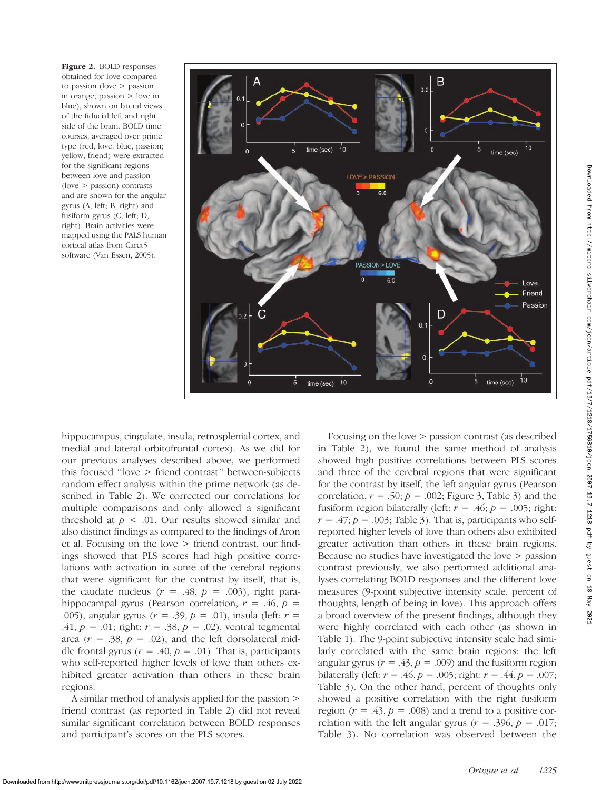Figure 2. BOLD responses obtained for love compared to passion (love > passion in orange; passion > love in blue), shown on lateral views of the fiducial left and right side of the brain. BOLD time courses, averaged over prime type (red, love; blue, passion; yellow, friend) were extracted for the significant regions between love and passion (love > passion) contrasts and are shown for the angular gyrus (A, left; B, right) and fusiform gyrus (C, left; D, right). Brain activities were mapped using the PALS human cortical atlas from Caret5 software (Van Essen, 2005).



hippocampus, cingulate, insula, retrosplenial cortex, and medial and lateral orbitofrontal cortex). As we did for our previous analyses described above, we performed this focused ''love > friend contrast'' between-subjects random effect analysis within the prime network (as described in Table 2). We corrected our correlations for multiple comparisons and only allowed a significant threshold at  $p < .01$ . Our results showed similar and also distinct findings as compared to the findings of Aron et al. Focusing on the love > friend contrast, our findings showed that PLS scores had high positive correlations with activation in some of the cerebral regions that were significant for the contrast by itself, that is, the caudate nucleus  $(r = .48, p = .003)$ , right parahippocampal gyrus (Pearson correlation,  $r = .46$ ,  $p =$ .005), angular gyrus ( $r = .39$ ,  $p = .01$ ), insula (left:  $r =$ .41,  $p = .01$ ; right:  $r = .38$ ,  $p = .02$ ), ventral tegmental area ( $r = .38$ ,  $p = .02$ ), and the left dorsolateral middle frontal gyrus ( $r = .40$ ,  $p = .01$ ). That is, participants who self-reported higher levels of love than others exhibited greater activation than others in these brain regions.

A similar method of analysis applied for the passion > friend contrast (as reported in Table 2) did not reveal similar significant correlation between BOLD responses and participant's scores on the PLS scores.

Focusing on the love > passion contrast (as described in Table 2), we found the same method of analysis showed high positive correlations between PLS scores and three of the cerebral regions that were significant for the contrast by itself, the left angular gyrus (Pearson correlation,  $r = .50$ ;  $p = .002$ ; Figure 3, Table 3) and the fusiform region bilaterally (left:  $r = .46$ ;  $p = .005$ ; right:  $r = .47$ ;  $p = .003$ ; Table 3). That is, participants who selfreported higher levels of love than others also exhibited greater activation than others in these brain regions. Because no studies have investigated the love > passion contrast previously, we also performed additional analyses correlating BOLD responses and the different love measures (9-point subjective intensity scale, percent of thoughts, length of being in love). This approach offers a broad overview of the present findings, although they were highly correlated with each other (as shown in Table 1). The 9-point subjective intensity scale had similarly correlated with the same brain regions: the left angular gyrus ( $r = .43$ ,  $p = .009$ ) and the fusiform region bilaterally (left:  $r = .46$ ,  $p = .005$ ; right:  $r = .44$ ,  $p = .007$ ; Table 3). On the other hand, percent of thoughts only showed a positive correlation with the right fusiform region ( $r = .43$ ,  $p = .008$ ) and a trend to a positive correlation with the left angular gyrus ( $r = .396$ ,  $p = .017$ ; Table 3). No correlation was observed between the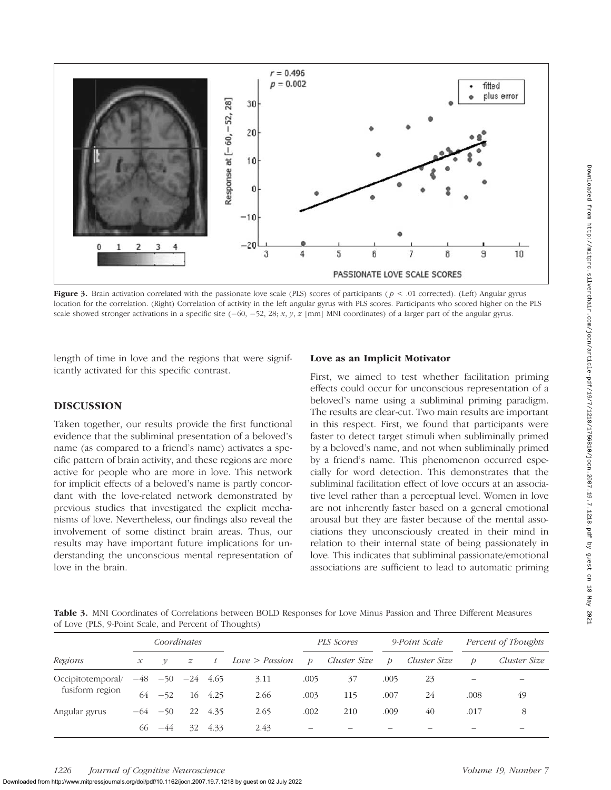

Figure 3. Brain activation correlated with the passionate love scale (PLS) scores of participants ( $p < .01$  corrected). (Left) Angular gyrus location for the correlation. (Right) Correlation of activity in the left angular gyrus with PLS scores. Participants who scored higher on the PLS scale showed stronger activations in a specific site  $(-60, -52, 28; x, y, z$  [mm] MNI coordinates) of a larger part of the angular gyrus.

length of time in love and the regions that were significantly activated for this specific contrast.

# DISCUSSION

Taken together, our results provide the first functional evidence that the subliminal presentation of a beloved's name (as compared to a friend's name) activates a specific pattern of brain activity, and these regions are more active for people who are more in love. This network for implicit effects of a beloved's name is partly concordant with the love-related network demonstrated by previous studies that investigated the explicit mechanisms of love. Nevertheless, our findings also reveal the involvement of some distinct brain areas. Thus, our results may have important future implications for understanding the unconscious mental representation of love in the brain.

## Love as an Implicit Motivator

First, we aimed to test whether facilitation priming effects could occur for unconscious representation of a beloved's name using a subliminal priming paradigm. The results are clear-cut. Two main results are important in this respect. First, we found that participants were faster to detect target stimuli when subliminally primed by a beloved's name, and not when subliminally primed by a friend's name. This phenomenon occurred especially for word detection. This demonstrates that the subliminal facilitation effect of love occurs at an associative level rather than a perceptual level. Women in love are not inherently faster based on a general emotional arousal but they are faster because of the mental associations they unconsciously created in their mind in relation to their internal state of being passionately in love. This indicates that subliminal passionate/emotional associations are sufficient to lead to automatic priming

Table 3. MNI Coordinates of Correlations between BOLD Responses for Love Minus Passion and Three Different Measures of Love (PLS, 9-Point Scale, and Percent of Thoughts)

|                                      |               |                        | Coordinates   |      |                |               | PLS Scores   |               | 9-Point Scale | Percent of Thoughts |              |
|--------------------------------------|---------------|------------------------|---------------|------|----------------|---------------|--------------|---------------|---------------|---------------------|--------------|
| Regions                              | $\mathcal{X}$ | v                      | $\mathcal{Z}$ | t    | Love > Passion | $\mathcal{D}$ | Cluster Size | $\mathcal{D}$ | Cluster Size  | D                   | Cluster Size |
| Occipitotemporal/<br>fusiform region |               | $-48$ $-50$ $-24$ 4.65 |               |      | 3.11           | .005          | 37           | .005          | 23            |                     |              |
|                                      | 64            | $-52$                  | 16            | 4.25 | 2.66           | .003          | 115          | .007          | 24            | .008                | 49           |
| Angular gyrus                        |               | $-64 - 50$             | 22            | 4.35 | 2.65           | .002          | 210          | .009          | 40            | .017                | 8            |
|                                      | 66.           | $-44$                  | 32            | 4.33 | 2.43           |               |              |               |               |                     |              |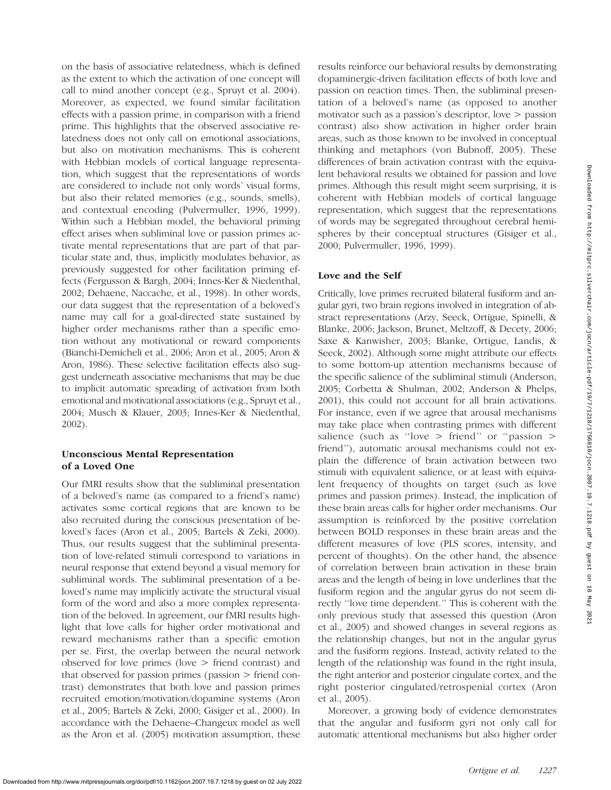on the basis of associative relatedness, which is defined as the extent to which the activation of one concept will call to mind another concept (e.g., Spruyt et al. 2004). Moreover, as expected, we found similar facilitation effects with a passion prime, in comparison with a friend prime. This highlights that the observed associative relatedness does not only call on emotional associations, but also on motivation mechanisms. This is coherent with Hebbian models of cortical language representation, which suggest that the representations of words are considered to include not only words' visual forms, but also their related memories (e.g., sounds, smells), and contextual encoding (Pulvermuller, 1996, 1999). Within such a Hebbian model, the behavioral priming effect arises when subliminal love or passion primes activate mental representations that are part of that particular state and, thus, implicitly modulates behavior, as previously suggested for other facilitation priming effects (Fergusson & Bargh, 2004; Innes-Ker & Niedenthal, 2002; Dehaene, Naccache, et al., 1998). In other words, our data suggest that the representation of a beloved's name may call for a goal-directed state sustained by higher order mechanisms rather than a specific emotion without any motivational or reward components (Bianchi-Demicheli et al., 2006; Aron et al., 2005; Aron & Aron, 1986). These selective facilitation effects also suggest underneath associative mechanisms that may be due to implicit automatic spreading of activation from both emotional and motivational associations (e.g., Spruyt et al., 2004; Musch & Klauer, 2003; Innes-Ker & Niedenthal, 2002).

## Unconscious Mental Representation of a Loved One

Our fMRI results show that the subliminal presentation of a beloved's name (as compared to a friend's name) activates some cortical regions that are known to be also recruited during the conscious presentation of beloved's faces (Aron et al., 2005; Bartels & Zeki, 2000). Thus, our results suggest that the subliminal presentation of love-related stimuli correspond to variations in neural response that extend beyond a visual memory for subliminal words. The subliminal presentation of a beloved's name may implicitly activate the structural visual form of the word and also a more complex representation of the beloved. In agreement, our fMRI results highlight that love calls for higher order motivational and reward mechanisms rather than a specific emotion per se. First, the overlap between the neural network observed for love primes (love > friend contrast) and that observed for passion primes (passion > friend contrast) demonstrates that both love and passion primes recruited emotion/motivation/dopamine systems (Aron et al., 2005; Bartels & Zeki, 2000; Gisiger et al., 2000). In accordance with the Dehaene–Changeux model as well as the Aron et al. (2005) motivation assumption, these

results reinforce our behavioral results by demonstrating dopaminergic-driven facilitation effects of both love and passion on reaction times. Then, the subliminal presentation of a beloved's name (as opposed to another motivator such as a passion's descriptor, love > passion contrast) also show activation in higher order brain areas, such as those known to be involved in conceptual thinking and metaphors (von Bubnoff, 2005). These differences of brain activation contrast with the equivalent behavioral results we obtained for passion and love primes. Although this result might seem surprising, it is coherent with Hebbian models of cortical language representation, which suggest that the representations of words may be segregated throughout cerebral hemispheres by their conceptual structures (Gisiger et al., 2000; Pulvermuller, 1996, 1999).

# Love and the Self

Critically, love primes recruited bilateral fusiform and angular gyri, two brain regions involved in integration of abstract representations (Arzy, Seeck, Ortigue, Spinelli, & Blanke, 2006; Jackson, Brunet, Meltzoff, & Decety, 2006; Saxe & Kanwisher, 2003; Blanke, Ortigue, Landis, & Seeck, 2002). Although some might attribute our effects to some bottom-up attention mechanisms because of the specific salience of the subliminal stimuli (Anderson, 2005; Corbetta & Shulman, 2002; Anderson & Phelps, 2001), this could not account for all brain activations. For instance, even if we agree that arousal mechanisms may take place when contrasting primes with different salience (such as "love > friend" or "passion > friend''), automatic arousal mechanisms could not explain the difference of brain activation between two stimuli with equivalent salience, or at least with equivalent frequency of thoughts on target (such as love primes and passion primes). Instead, the implication of these brain areas calls for higher order mechanisms. Our assumption is reinforced by the positive correlation between BOLD responses in these brain areas and the different measures of love (PLS scores, intensity, and percent of thoughts). On the other hand, the absence of correlation between brain activation in these brain areas and the length of being in love underlines that the fusiform region and the angular gyrus do not seem directly ''love time dependent.'' This is coherent with the only previous study that assessed this question (Aron et al., 2005) and showed changes in several regions as the relationship changes, but not in the angular gyrus and the fusiform regions. Instead, activity related to the length of the relationship was found in the right insula, the right anterior and posterior cingulate cortex, and the right posterior cingulated/retrospenial cortex (Aron et al., 2005).

Moreover, a growing body of evidence demonstrates that the angular and fusiform gyri not only call for automatic attentional mechanisms but also higher order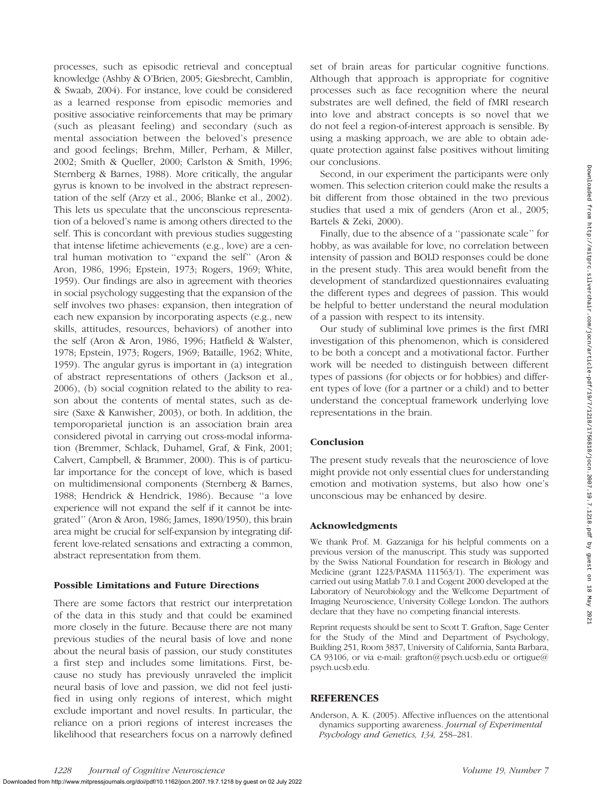processes, such as episodic retrieval and conceptual knowledge (Ashby & O'Brien, 2005; Giesbrecht, Camblin, & Swaab, 2004). For instance, love could be considered as a learned response from episodic memories and positive associative reinforcements that may be primary (such as pleasant feeling) and secondary (such as mental association between the beloved's presence and good feelings; Brehm, Miller, Perham, & Miller, 2002; Smith & Queller, 2000; Carlston & Smith, 1996; Sternberg & Barnes, 1988). More critically, the angular gyrus is known to be involved in the abstract representation of the self (Arzy et al., 2006; Blanke et al., 2002). This lets us speculate that the unconscious representation of a beloved's name is among others directed to the self. This is concordant with previous studies suggesting that intense lifetime achievements (e.g., love) are a central human motivation to ''expand the self'' (Aron & Aron, 1986, 1996; Epstein, 1973; Rogers, 1969; White, 1959). Our findings are also in agreement with theories in social psychology suggesting that the expansion of the self involves two phases: expansion, then integration of each new expansion by incorporating aspects (e.g., new skills, attitudes, resources, behaviors) of another into the self (Aron & Aron, 1986, 1996; Hatfield & Walster, 1978; Epstein, 1973; Rogers, 1969; Bataille, 1962; White, 1959). The angular gyrus is important in (a) integration of abstract representations of others (Jackson et al., 2006), (b) social cognition related to the ability to reason about the contents of mental states, such as desire (Saxe & Kanwisher, 2003), or both. In addition, the temporoparietal junction is an association brain area considered pivotal in carrying out cross-modal information (Bremmer, Schlack, Duhamel, Graf, & Fink, 2001; Calvert, Campbell, & Brammer, 2000). This is of particular importance for the concept of love, which is based on multidimensional components (Sternberg & Barnes, 1988; Hendrick & Hendrick, 1986). Because ''a love experience will not expand the self if it cannot be integrated'' (Aron & Aron, 1986; James, 1890/1950), this brain area might be crucial for self-expansion by integrating different love-related sensations and extracting a common, abstract representation from them.

## Possible Limitations and Future Directions

There are some factors that restrict our interpretation of the data in this study and that could be examined more closely in the future. Because there are not many previous studies of the neural basis of love and none about the neural basis of passion, our study constitutes a first step and includes some limitations. First, because no study has previously unraveled the implicit neural basis of love and passion, we did not feel justified in using only regions of interest, which might exclude important and novel results. In particular, the reliance on a priori regions of interest increases the likelihood that researchers focus on a narrowly defined set of brain areas for particular cognitive functions. Although that approach is appropriate for cognitive processes such as face recognition where the neural substrates are well defined, the field of fMRI research into love and abstract concepts is so novel that we do not feel a region-of-interest approach is sensible. By using a masking approach, we are able to obtain adequate protection against false positives without limiting our conclusions.

Second, in our experiment the participants were only women. This selection criterion could make the results a bit different from those obtained in the two previous studies that used a mix of genders (Aron et al., 2005; Bartels & Zeki, 2000).

Finally, due to the absence of a ''passionate scale'' for hobby, as was available for love, no correlation between intensity of passion and BOLD responses could be done in the present study. This area would benefit from the development of standardized questionnaires evaluating the different types and degrees of passion. This would be helpful to better understand the neural modulation of a passion with respect to its intensity.

Our study of subliminal love primes is the first fMRI investigation of this phenomenon, which is considered to be both a concept and a motivational factor. Further work will be needed to distinguish between different types of passions (for objects or for hobbies) and different types of love (for a partner or a child) and to better understand the conceptual framework underlying love representations in the brain.

#### Conclusion

The present study reveals that the neuroscience of love might provide not only essential clues for understanding emotion and motivation systems, but also how one's unconscious may be enhanced by desire.

#### Acknowledgments

We thank Prof. M. Gazzaniga for his helpful comments on a previous version of the manuscript. This study was supported by the Swiss National Foundation for research in Biology and Medicine (grant 1223/PASMA 111563/1). The experiment was carried out using Matlab 7.0.1 and Cogent 2000 developed at the Laboratory of Neurobiology and the Wellcome Department of Imaging Neuroscience, University College London. The authors declare that they have no competing financial interests.

Reprint requests should be sent to Scott T. Grafton, Sage Center for the Study of the Mind and Department of Psychology, Building 251, Room 3837, University of California, Santa Barbara, CA 93106, or via e-mail: grafton@psych.ucsb.edu or ortigue@ psych.ucsb.edu.

## **REFERENCES**

Anderson, A. K. (2005). Affective influences on the attentional dynamics supporting awareness. Journal of Experimental Psychology and Genetics, 134, 258–281.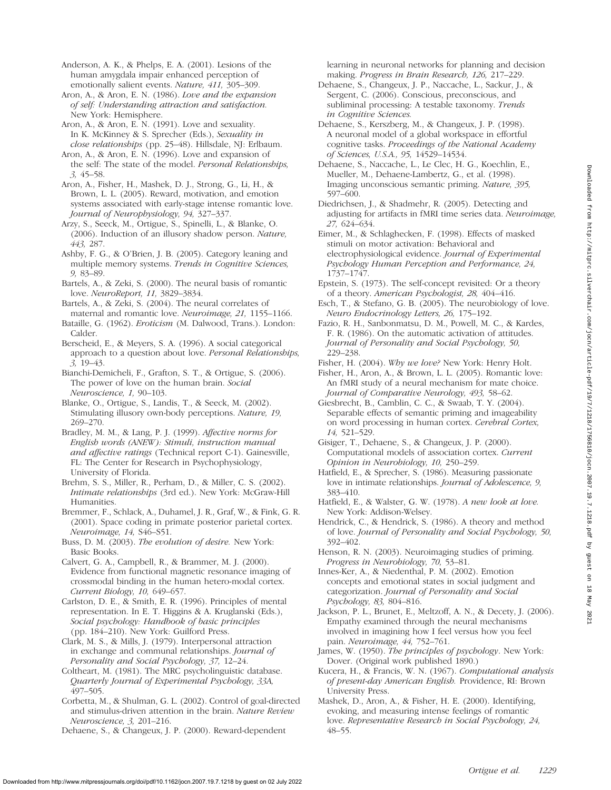Anderson, A. K., & Phelps, E. A. (2001). Lesions of the human amygdala impair enhanced perception of emotionally salient events. Nature, 411, 305–309.

Aron, A., & Aron, E. N. (1986). Love and the expansion of self: Understanding attraction and satisfaction. New York: Hemisphere.

Aron, A., & Aron, E. N. (1991). Love and sexuality. In K. McKinney & S. Sprecher (Eds.), Sexuality in close relationships (pp. 25–48). Hillsdale, NJ: Erlbaum.

Aron, A., & Aron, E. N. (1996). Love and expansion of the self: The state of the model. Personal Relationships, 3, 45–58.

Aron, A., Fisher, H., Mashek, D. J., Strong, G., Li, H., & Brown, L. L. (2005). Reward, motivation, and emotion systems associated with early-stage intense romantic love. Journal of Neurophysiology, 94, 327-337.

Arzy, S., Seeck, M., Ortigue, S., Spinelli, L., & Blanke, O. (2006). Induction of an illusory shadow person. Nature, 443, 287.

Ashby, F. G., & O'Brien, J. B. (2005). Category leaning and multiple memory systems. Trends in Cognitive Sciences, 9, 83–89.

Bartels, A., & Zeki, S. (2000). The neural basis of romantic love. NeuroReport, 11, 3829–3834.

Bartels, A., & Zeki, S. (2004). The neural correlates of maternal and romantic love. Neuroimage, 21, 1155–1166.

Bataille, G. (1962). Eroticism (M. Dalwood, Trans.). London: Calder.

Berscheid, E., & Meyers, S. A. (1996). A social categorical approach to a question about love. Personal Relationships, 3, 19–43.

Bianchi-Demicheli, F., Grafton, S. T., & Ortigue, S. (2006). The power of love on the human brain. Social Neuroscience, 1, 90–103.

Blanke, O., Ortigue, S., Landis, T., & Seeck, M. (2002). Stimulating illusory own-body perceptions. Nature, 19, 269–270.

Bradley, M. M., & Lang, P. J. (1999). Affective norms for English words (ANEW): Stimuli, instruction manual and affective ratings (Technical report C-1). Gainesville, FL: The Center for Research in Psychophysiology, University of Florida.

Brehm, S. S., Miller, R., Perham, D., & Miller, C. S. (2002). Intimate relationships (3rd ed.). New York: McGraw-Hill Humanities.

Bremmer, F., Schlack, A., Duhamel, J. R., Graf, W., & Fink, G. R. (2001). Space coding in primate posterior parietal cortex. Neuroimage, 14, S46–S51.

Buss, D. M. (2003). The evolution of desire. New York: Basic Books.

Calvert, G. A., Campbell, R., & Brammer, M. J. (2000). Evidence from functional magnetic resonance imaging of crossmodal binding in the human hetero-modal cortex. Current Biology, 10, 649–657.

Carlston, D. E., & Smith, E. R. (1996). Principles of mental representation. In E. T. Higgins & A. Kruglanski (Eds.), Social psychology: Handbook of basic principles (pp. 184–210). New York: Guilford Press.

Clark, M. S., & Mills, J. (1979). Interpersonal attraction in exchange and communal relationships. Journal of Personality and Social Psychology, 37, 12–24.

Coltheart, M. (1981). The MRC psycholinguistic database. Quarterly Journal of Experimental Psychology, 33A, 497–505.

Corbetta, M., & Shulman, G. L. (2002). Control of goal-directed and stimulus-driven attention in the brain. Nature Review Neuroscience, 3, 201–216.

Dehaene, S., & Changeux, J. P. (2000). Reward-dependent

learning in neuronal networks for planning and decision making. Progress in Brain Research, 126, 217–229.

- Dehaene, S., Changeux, J. P., Naccache, L., Sackur, J., & Sergent, C. (2006). Conscious, preconscious, and subliminal processing: A testable taxonomy. Trends in Cognitive Sciences.
- Dehaene, S., Kerszberg, M., & Changeux, J. P. (1998). A neuronal model of a global workspace in effortful cognitive tasks. Proceedings of the National Academy of Sciences, U.S.A., 95, 14529–14534.
- Dehaene, S., Naccache, L., Le Clec, H. G., Koechlin, E., Mueller, M., Dehaene-Lambertz, G., et al. (1998). Imaging unconscious semantic priming. Nature, 395, 597–600.
- Diedrichsen, J., & Shadmehr, R. (2005). Detecting and adjusting for artifacts in fMRI time series data. Neuroimage, 27, 624–634.
- Eimer, M., & Schlaghecken, F. (1998). Effects of masked stimuli on motor activation: Behavioral and electrophysiological evidence. Journal of Experimental Psychology Human Perception and Performance, 24, 1737–1747.
- Epstein, S. (1973). The self-concept revisited: Or a theory of a theory. American Psychologist, 28, 404–416.
- Esch, T., & Stefano, G. B. (2005). The neurobiology of love. Neuro Endocrinology Letters, 26, 175–192.
- Fazio, R. H., Sanbonmatsu, D. M., Powell, M. C., & Kardes, F. R. (1986). On the automatic activation of attitudes. Journal of Personality and Social Psychology, 50, 229–238.
- Fisher, H. (2004). Why we love? New York: Henry Holt.
- Fisher, H., Aron, A., & Brown, L. L. (2005). Romantic love: An fMRI study of a neural mechanism for mate choice. Journal of Comparative Neurology, 493, 58–62.
- Giesbrecht, B., Camblin, C. C., & Swaab, T. Y. (2004). Separable effects of semantic priming and imageability on word processing in human cortex. Cerebral Cortex, 14, 521–529.
- Gisiger, T., Dehaene, S., & Changeux, J. P. (2000). Computational models of association cortex. Current Opinion in Neurobiology, 10, 250–259.
- Hatfield, E., & Sprecher, S. (1986). Measuring passionate love in intimate relationships. Journal of Adolescence, 9, 383–410.
- Hatfield, E., & Walster, G. W. (1978). A new look at love. New York: Addison-Welsey.

Hendrick, C., & Hendrick, S. (1986). A theory and method of love. Journal of Personality and Social Psychology, 50, 392–402.

Henson, R. N. (2003). Neuroimaging studies of priming. Progress in Neurobiology, 70, 53–81.

Innes-Ker, A., & Niedenthal, P. M. (2002). Emotion concepts and emotional states in social judgment and categorization. Journal of Personality and Social Psychology, 83, 804–816.

Jackson, P. L., Brunet, E., Meltzoff, A. N., & Decety, J. (2006). Empathy examined through the neural mechanisms involved in imagining how I feel versus how you feel pain. Neuroimage, 44, 752–761.

James, W. (1950). The principles of psychology. New York: Dover. (Original work published 1890.)

Kucera, H., & Francis, W. N. (1967). Computational analysis of present-day American English. Providence, RI: Brown University Press.

Mashek, D., Aron, A., & Fisher, H. E. (2000). Identifying, evoking, and measuring intense feelings of romantic love. Representative Research in Social Psychology, 24, 48–55.